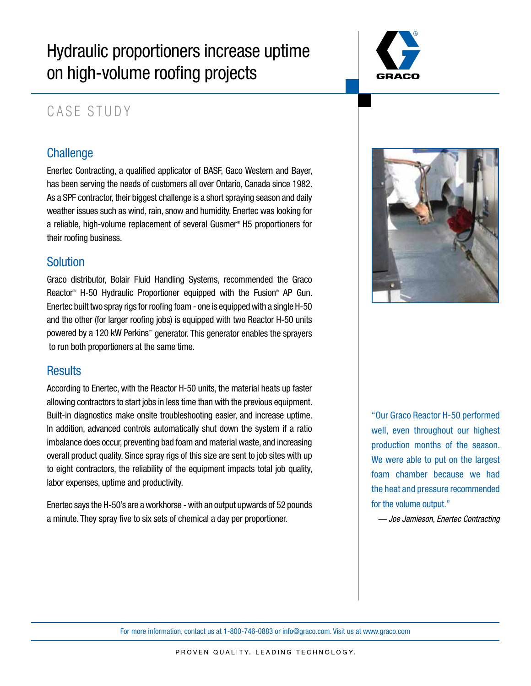# Hydraulic proportioners increase uptime on high-volume roofing projects



# CASE STUDY

# **Challenge**

Enertec Contracting, a qualified applicator of BASF, Gaco Western and Bayer, has been serving the needs of customers all over Ontario, Canada since 1982. As a SPF contractor, their biggest challenge is a short spraying season and daily weather issues such as wind, rain, snow and humidity. Enertec was looking for a reliable, high-volume replacement of several Gusmer® H5 proportioners for their roofing business.

# Solution

Graco distributor, Bolair Fluid Handling Systems, recommended the Graco Reactor® H-50 Hydraulic Proportioner equipped with the Fusion® AP Gun. Enertec built two spray rigs for roofing foam - one is equipped with a single H-50 and the other (for larger roofing jobs) is equipped with two Reactor H-50 units powered by a 120 kW Perkins™ generator. This generator enables the sprayers to run both proportioners at the same time.

# **Results**

According to Enertec, with the Reactor H-50 units, the material heats up faster allowing contractors to start jobs in less time than with the previous equipment. Built-in diagnostics make onsite troubleshooting easier, and increase uptime. In addition, advanced controls automatically shut down the system if a ratio imbalance does occur, preventing bad foam and material waste, and increasing overall product quality. Since spray rigs of this size are sent to job sites with up to eight contractors, the reliability of the equipment impacts total job quality, labor expenses, uptime and productivity.

Enertec says the H-50's are a workhorse - with an output upwards of 52 pounds a minute. They spray five to six sets of chemical a day per proportioner.



"Our Graco Reactor H-50 performed well, even throughout our highest production months of the season. We were able to put on the largest foam chamber because we had the heat and pressure recommended for the volume output."

*— Joe Jamieson, Enertec Contracting*